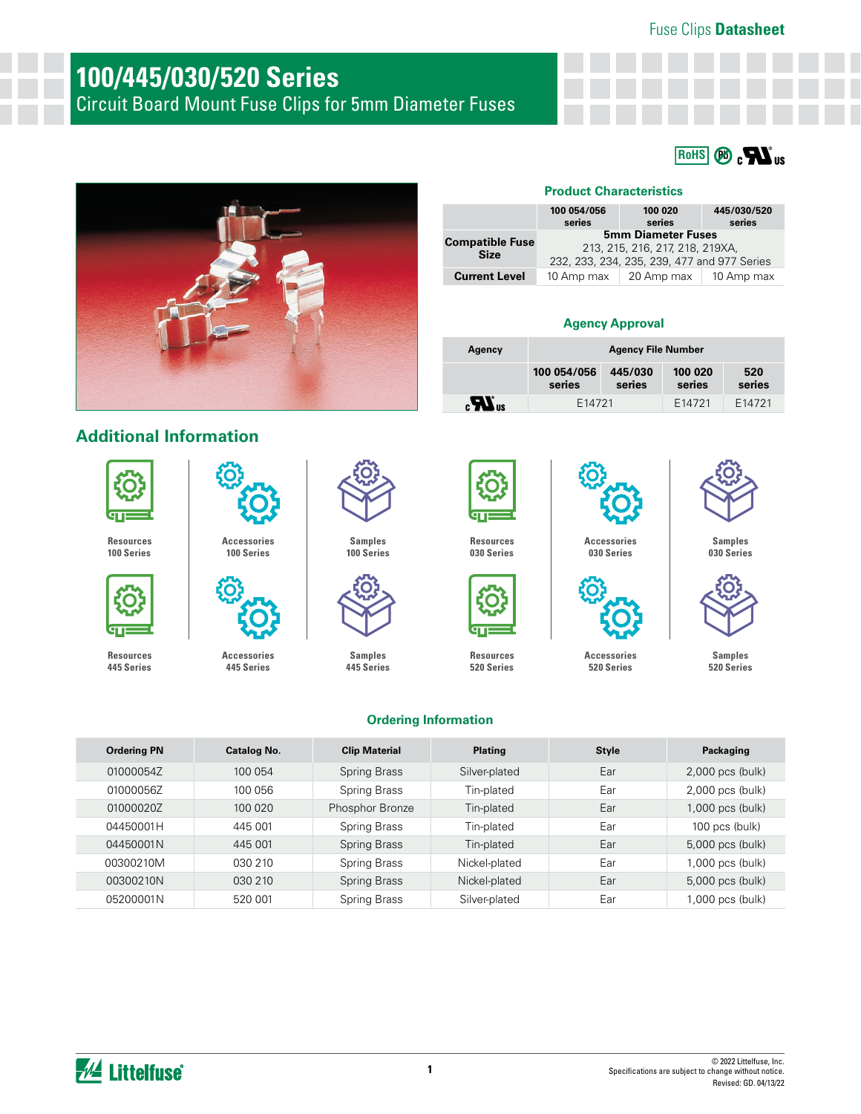Fuse Clips **Datasheet**

## **100/445/030/520 Series**

Circuit Board Mount Fuse Clips for 5mm Diameter Fuses





**[Accessories](https://www.littelfuse.com/products/fuse-blocks-fuseholders-and-fuse-accessories/fuse-clips/445_030_520.aspx#EnvironmentalInfo) 445 Series**

#### **Product Characteristics**

|                                       | 100 054/056<br>series                                                                                       | 100 020<br>series | 445/030/520<br>series |
|---------------------------------------|-------------------------------------------------------------------------------------------------------------|-------------------|-----------------------|
| <b>Compatible Fuse</b><br><b>Size</b> | <b>5mm Diameter Fuses</b><br>213, 215, 216, 217, 218, 219XA,<br>232, 233, 234, 235, 239, 477 and 977 Series |                   |                       |
| <b>Current Level</b>                  | 10 Amp max                                                                                                  | 20 Amp max        | 10 Amp max            |

#### **Agency Approval**

| Agency                  | <b>Agency File Number</b> |                   |                   |               |
|-------------------------|---------------------------|-------------------|-------------------|---------------|
|                         | 100 054/056<br>series     | 445/030<br>series | 100 020<br>series | 520<br>series |
| $\mathbf{R}_{\text{u}}$ | F <sub>14721</sub>        |                   | F14721            | F14721        |

**[Accessories](https://www.littelfuse.com/products/fuse-blocks-fuseholders-and-fuse-accessories/fuse-clips/445_030_520.aspx#EnvironmentalInfo) 030 Series**

### **Additional Information**



**[Resources](https://www.littelfuse.com/products/fuse-blocks-fuseholders-and-fuse-accessories/fuse-clips/100_pc.aspx#TechnicalResources) 100 Series**



**[Resources](https://www.littelfuse.com/products/fuse-blocks-fuseholders-and-fuse-accessories/fuse-clips/445_030_520.aspx#TechnicalResources) 445 Series**



**Samples [100 Series](https://www.littelfuse.com/products/fuse-blocks-fuseholders-and-fuse-accessories/fuse-clips/100_pc.aspx#ElectricalCharacteristics)**



**Samples [445 Series](https://www.littelfuse.com/products/fuse-blocks-fuseholders-and-fuse-accessories/fuse-clips/445_030_520.aspx#ElectricalCharacteristics)**



**[Resources](https://www.littelfuse.com/products/fuse-blocks-fuseholders-and-fuse-accessories/fuse-clips/445_030_520.aspx#TechnicalResources) 520 Series**



**[Accessories](https://www.littelfuse.com/products/fuse-blocks-fuseholders-and-fuse-accessories/fuse-clips/445_030_520.aspx#EnvironmentalInfo) 520 Series**



**Samples [030 Series](https://www.littelfuse.com/products/fuse-blocks-fuseholders-and-fuse-accessories/fuse-clips/445_030_520.aspx#ElectricalCharacteristics)**



**Samples [520 Series](https://www.littelfuse.com/products/fuse-blocks-fuseholders-and-fuse-accessories/fuse-clips/445_030_520.aspx#ElectricalCharacteristics)**

#### **Ordering Information**

| <b>Ordering PN</b> | <b>Catalog No.</b> | <b>Clip Material</b> | <b>Plating</b> | <b>Style</b> | Packaging          |
|--------------------|--------------------|----------------------|----------------|--------------|--------------------|
| 01000054Z          | 100 054            | <b>Spring Brass</b>  | Silver-plated  | Ear          | 2,000 pcs (bulk)   |
| 01000056Z          | 100 056            | Spring Brass         | Tin-plated     | Ear          | 2,000 pcs (bulk)   |
| 01000020Z          | 100 020            | Phosphor Bronze      | Tin-plated     | Ear          | 1,000 pcs (bulk)   |
| 04450001H          | 445 001            | Spring Brass         | Tin-plated     | Ear          | $100$ pcs (bulk)   |
| 04450001N          | 445 001            | Spring Brass         | Tin-plated     | Ear          | 5,000 pcs (bulk)   |
| 00300210M          | 030 210            | Spring Brass         | Nickel-plated  | Ear          | $1,000$ pcs (bulk) |
| 00300210N          | 030 210            | <b>Spring Brass</b>  | Nickel-plated  | Ear          | 5,000 pcs (bulk)   |
| 05200001N          | 520 001            | Spring Brass         | Silver-plated  | Ear          | 1,000 pcs (bulk)   |